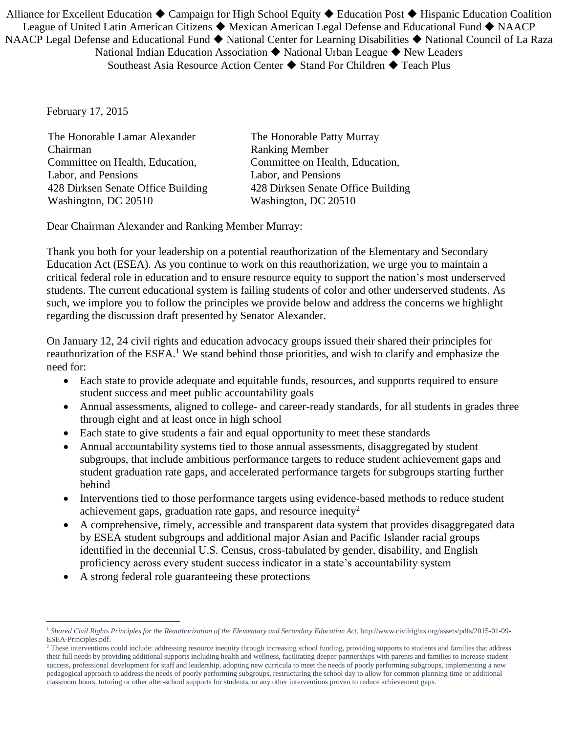Alliance for Excellent Education  $\blacklozenge$  Campaign for High School Equity  $\blacklozenge$  Education Post  $\blacklozenge$  Hispanic Education Coalition League of United Latin American Citizens  $\blacklozenge$  Mexican American Legal Defense and Educational Fund  $\blacklozenge$  NAACP NAACP Legal Defense and Educational Fund ♦ National Center for Learning Disabilities ♦ National Council of La Raza National Indian Education Association  $\blacklozenge$  National Urban League  $\blacklozenge$  New Leaders Southeast Asia Resource Action Center  $\blacklozenge$  Stand For Children  $\blacklozenge$  Teach Plus

February 17, 2015

 $\overline{a}$ 

 The Honorable Lamar Alexander Chairman Committee on Health, Education, Labor, and Pensions 428 Dirksen Senate Office Building Washington, DC 20510

The Honorable Patty Murray Ranking Member Committee on Health, Education, Labor, and Pensions 428 Dirksen Senate Office Building Washington, DC 20510

Dear Chairman Alexander and Ranking Member Murray:

Thank you both for your leadership on a potential reauthorization of the Elementary and Secondary Education Act (ESEA). As you continue to work on this reauthorization, we urge you to maintain a critical federal role in education and to ensure resource equity to support the nation's most underserved students. The current educational system is failing students of color and other underserved students. As such, we implore you to follow the principles we provide below and address the concerns we highlight regarding the discussion draft presented by Senator Alexander.

On January 12, 24 civil rights and education advocacy groups issued their shared their principles for reauthorization of the ESEA.<sup>1</sup> We stand behind those priorities, and wish to clarify and emphasize the need for:

- Each state to provide adequate and equitable funds, resources, and supports required to ensure student success and meet public accountability goals
- Annual assessments, aligned to college- and career-ready standards, for all students in grades three through eight and at least once in high school
- Each state to give students a fair and equal opportunity to meet these standards
- Annual accountability systems tied to those annual assessments, disaggregated by student subgroups, that include ambitious performance targets to reduce student achievement gaps and student graduation rate gaps, and accelerated performance targets for subgroups starting further behind
- Interventions tied to those performance targets using evidence-based methods to reduce student achievement gaps, graduation rate gaps, and resource inequity<sup>2</sup>
- A comprehensive, timely, accessible and transparent data system that provides disaggregated data by ESEA student subgroups and additional major Asian and Pacific Islander racial groups identified in the decennial U.S. Census, cross-tabulated by gender, disability, and English proficiency across every student success indicator in a state's accountability system
- A strong federal role guaranteeing these protections

<sup>1</sup> *Shared Civil Rights Principles for the Reauthorization of the Elementary and Secondary Education Act*, http://www.civilrights.org/assets/pdfs/2015-01-09- ESEA-Principles.pdf.

<sup>&</sup>lt;sup>2</sup> These interventions could include: addressing resource inequity through increasing school funding, providing supports to students and families that address their full needs by providing additional supports including health and wellness, facilitating deeper partnerships with parents and families to increase student success, professional development for staff and leadership, adopting new curricula to meet the needs of poorly performing subgroups, implementing a new pedagogical approach to address the needs of poorly performing subgroups, restructuring the school day to allow for common planning time or additional classroom hours, tutoring or other after-school supports for students, or any other interventions proven to reduce achievement gaps.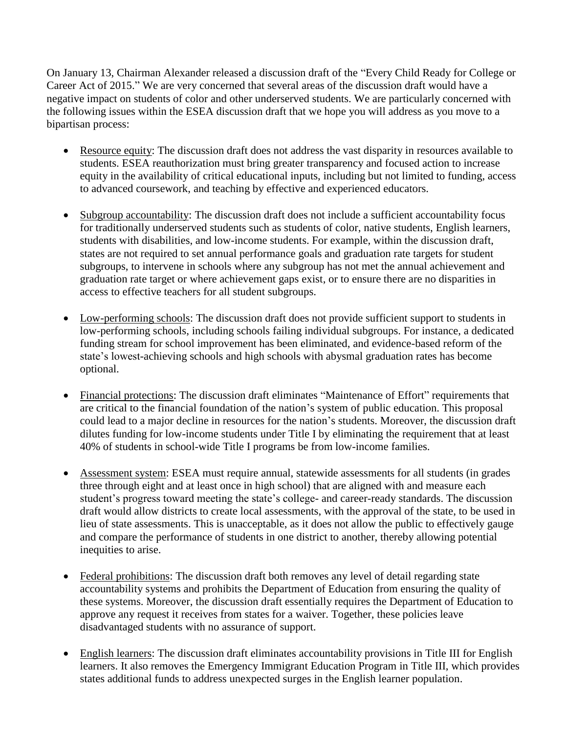On January 13, Chairman Alexander released a discussion draft of the "Every Child Ready for College or Career Act of 2015." We are very concerned that several areas of the discussion draft would have a negative impact on students of color and other underserved students. We are particularly concerned with the following issues within the ESEA discussion draft that we hope you will address as you move to a bipartisan process:

- Resource equity: The discussion draft does not address the vast disparity in resources available to students. ESEA reauthorization must bring greater transparency and focused action to increase equity in the availability of critical educational inputs, including but not limited to funding, access to advanced coursework, and teaching by effective and experienced educators.
- Subgroup accountability: The discussion draft does not include a sufficient accountability focus for traditionally underserved students such as students of color, native students, English learners, students with disabilities, and low-income students. For example, within the discussion draft, states are not required to set annual performance goals and graduation rate targets for student subgroups, to intervene in schools where any subgroup has not met the annual achievement and graduation rate target or where achievement gaps exist, or to ensure there are no disparities in access to effective teachers for all student subgroups.
- Low-performing schools: The discussion draft does not provide sufficient support to students in low-performing schools, including schools failing individual subgroups. For instance, a dedicated funding stream for school improvement has been eliminated, and evidence-based reform of the state's lowest-achieving schools and high schools with abysmal graduation rates has become optional.
- Financial protections: The discussion draft eliminates "Maintenance of Effort" requirements that are critical to the financial foundation of the nation's system of public education. This proposal could lead to a major decline in resources for the nation's students. Moreover, the discussion draft dilutes funding for low-income students under Title I by eliminating the requirement that at least 40% of students in school-wide Title I programs be from low-income families.
- Assessment system: ESEA must require annual, statewide assessments for all students (in grades three through eight and at least once in high school) that are aligned with and measure each student's progress toward meeting the state's college- and career-ready standards. The discussion draft would allow districts to create local assessments, with the approval of the state, to be used in lieu of state assessments. This is unacceptable, as it does not allow the public to effectively gauge and compare the performance of students in one district to another, thereby allowing potential inequities to arise.
- Federal prohibitions: The discussion draft both removes any level of detail regarding state accountability systems and prohibits the Department of Education from ensuring the quality of these systems. Moreover, the discussion draft essentially requires the Department of Education to approve any request it receives from states for a waiver. Together, these policies leave disadvantaged students with no assurance of support.
- English learners: The discussion draft eliminates accountability provisions in Title III for English learners. It also removes the Emergency Immigrant Education Program in Title III, which provides states additional funds to address unexpected surges in the English learner population.